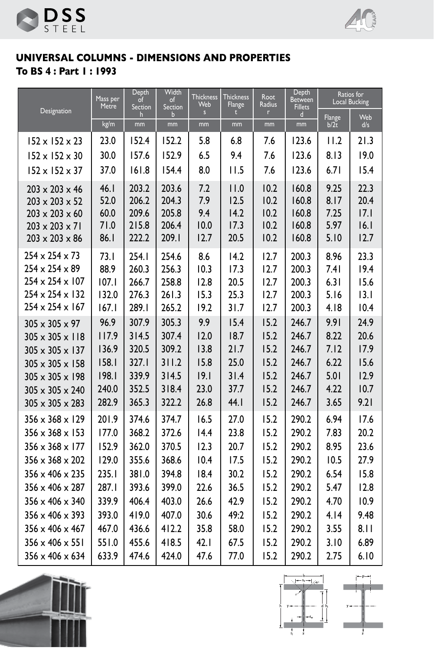



## **UNIVERSAL COLUMNS - DIMENSIONS AND PROPERTIES To BS 4 : Part 1 : 1993**

|                                                                                                                                                    | Mass per<br>Metre                    | <b>Depth</b><br>of<br>Section             |                                           | <b>Thickness</b><br>Web           | <b>Thickness</b><br>Flange           | Root<br>Radius                       | <b>Depth</b><br>Between<br><b>Fillets</b> | Ratios for<br><b>Local Bucking</b>   |                                      |
|----------------------------------------------------------------------------------------------------------------------------------------------------|--------------------------------------|-------------------------------------------|-------------------------------------------|-----------------------------------|--------------------------------------|--------------------------------------|-------------------------------------------|--------------------------------------|--------------------------------------|
| Designation                                                                                                                                        | kg/m                                 | h<br>mm                                   | Section<br>b<br>mm                        | s<br>mm                           | п<br>mm                              | г<br>mm                              | d<br>mm                                   | <b>Flange</b><br>b/2t                | Web<br>d/s                           |
| $152 \times 152 \times 23$                                                                                                                         | 23.0                                 | 152.4                                     | 152.2                                     | 5.8                               | 6.8                                  | 7.6                                  | 123.6                                     | 11.2                                 | 21.3                                 |
| $152 \times 152 \times 30$                                                                                                                         | 30.0                                 | 157.6                                     | 152.9                                     | 6.5                               | 9.4                                  | 7.6                                  | 123.6                                     | 8.13                                 | 19.0                                 |
| $152 \times 152 \times 37$                                                                                                                         | 37.0                                 | 161.8                                     | 154.4                                     | 8.0                               | 11.5                                 | 7.6                                  | 123.6                                     | 6.71                                 | 15.4                                 |
| $203 \times 203 \times 46$<br>$203 \times 203 \times 52$<br>$203 \times 203 \times 60$<br>$203 \times 203 \times 71$<br>$203 \times 203 \times 86$ | 46.1<br>52.0<br>60.0<br>71.0<br>86.1 | 203.2<br>206.2<br>209.6<br>215.8<br>222.2 | 203.6<br>204.3<br>205.8<br>206.4<br>209.1 | 7.2<br>7.9<br>9.4<br>10.0<br>12.7 | 11.0<br>12.5<br>14.2<br>17.3<br>20.5 | 10.2<br>10.2<br>10.2<br>10.2<br>10.2 | 160.8<br>160.8<br>160.8<br>160.8<br>160.8 | 9.25<br>8.17<br>7.25<br>5.97<br>5.10 | 22.3<br>20.4<br>17.1<br>16.1<br>12.7 |
| $254 \times 254 \times 73$                                                                                                                         | 73.1                                 | 254.1                                     | 254.6                                     | 8.6                               | 14.2                                 | 12.7                                 | 200.3                                     | 8.96                                 | 23.3                                 |
| $254 \times 254 \times 89$                                                                                                                         | 88.9                                 | 260.3                                     | 256.3                                     | 10.3                              | 17.3                                 | 12.7                                 | 200.3                                     | 7.41                                 | 19.4                                 |
| 254 x 254 x 107                                                                                                                                    | 107.1                                | 266.7                                     | 258.8                                     | 12.8                              | 20.5                                 | 12.7                                 | 200.3                                     | 6.31                                 | 15.6                                 |
| $254 \times 254 \times 132$<br>$254 \times 254 \times 167$                                                                                         | 132.0<br>167.1                       | 276.3<br>289.1                            | 261.3<br>265.2                            | 15.3<br>19.2                      | 25.3<br>31.7                         | 12.7<br>12.7                         | 200.3<br>200.3                            | 5.16<br>4.18                         | 3.1<br>10.4                          |
| $305 \times 305 \times 97$                                                                                                                         | 96.9                                 | 307.9                                     | 305.3                                     | 9.9                               | 15.4                                 | 15.2                                 | 246.7                                     | 9.91                                 | 24.9                                 |
| $305 \times 305 \times 118$                                                                                                                        | 117.9                                | 314.5                                     | 307.4                                     | 12.0                              | 18.7                                 | 15.2                                 | 246.7                                     | 8.22                                 | 20.6                                 |
| $305 \times 305 \times 137$                                                                                                                        | 136.9                                | 320.5                                     | 309.2                                     | 13.8                              | 21.7                                 | 15.2                                 | 246.7                                     | 7.12                                 | 17.9                                 |
| $305 \times 305 \times 158$                                                                                                                        | 158.1                                | 327.1                                     | 311.2                                     | 15.8                              | 25.0                                 | 15.2                                 | 246.7                                     | 6.22                                 | 15.6                                 |
| 305 x 305 x 198                                                                                                                                    | 198.1                                | 339.9                                     | 314.5                                     | 9.1                               | 31.4                                 | 15.2                                 | 246.7                                     | 5.01                                 | 12.9                                 |
| $305 \times 305 \times 240$                                                                                                                        | 240.0                                | 352.5                                     | 318.4                                     | 23.0                              | 37.7                                 | 15.2                                 | 246.7                                     | 4.22                                 | 10.7                                 |
| $305 \times 305 \times 283$                                                                                                                        | 282.9                                | 365.3                                     | 322.2                                     | 26.8                              | 44.1                                 | 15.2                                 | 246.7                                     | 3.65                                 | 9.21                                 |
| $356 \times 368 \times 129$                                                                                                                        | 201.9                                | 374.6                                     | 374.7                                     | 16.5                              | 27.0                                 | 15.2                                 | 290.2                                     | 6.94                                 | 17.6                                 |
| $356 \times 368 \times 153$                                                                                                                        | 177.0                                | 368.2                                     | 372.6                                     | 14.4                              | 23.8                                 | 15.2                                 | 290.2                                     | 7.83                                 | 20.2                                 |
| $356 \times 368 \times 177$                                                                                                                        | 152.9                                | 362.0                                     | 370.5                                     | 12.3                              | 20.7                                 | 15.2                                 | 290.2                                     | 8.95                                 | 23.6                                 |
| $356 \times 368 \times 202$                                                                                                                        | 129.0                                | 355.6                                     | 368.6                                     | 10.4                              | 17.5                                 | 15.2                                 | 290.2                                     | 10.5                                 | 27.9                                 |
| $356 \times 406 \times 235$                                                                                                                        | 235.1                                | 381.0                                     | 394.8                                     | 18.4                              | 30.2                                 | 15.2                                 | 290.2                                     | 6.54                                 | 15.8                                 |
| 356 x 406 x 287                                                                                                                                    | 287.1                                | 393.6                                     | 399.0                                     | 22.6                              | 36.5                                 | 15.2                                 | 290.2                                     | 5.47                                 | 12.8                                 |
| 356 x 406 x 340                                                                                                                                    | 339.9                                | 406.4                                     | 403.0                                     | 26.6                              | 42.9                                 | 15.2                                 | 290.2                                     | 4.70                                 | 10.9                                 |
| $356 \times 406 \times 393$                                                                                                                        | 393.0                                | 419.0                                     | 407.0                                     | 30.6                              | 49:2                                 | 15.2                                 | 290.2                                     | 4.14                                 | 9.48                                 |
| 356 x 406 x 467                                                                                                                                    | 467.0                                | 436.6                                     | 412.2                                     | 35.8                              | 58.0                                 | 15.2                                 | 290.2                                     | 3.55                                 | 8.11                                 |
| 356 x 406 x 551                                                                                                                                    | 551.0                                | 455.6                                     | 418.5                                     | 42.1                              | 67.5                                 | 15.2                                 | 290.2                                     | 3.10                                 | 6.89                                 |
| $356 \times 406 \times 634$                                                                                                                        | 633.9                                | 474.6                                     | 424.0                                     | 47.6                              | 77.0                                 | 15.2                                 | 290.2                                     | 2.75                                 | 6.10                                 |